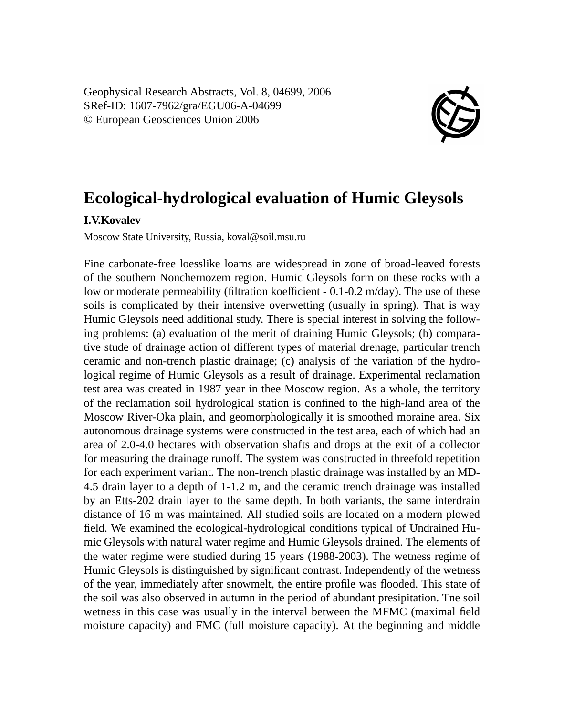Geophysical Research Abstracts, Vol. 8, 04699, 2006 SRef-ID: 1607-7962/gra/EGU06-A-04699 © European Geosciences Union 2006



## **Ecological-hydrological evaluation of Humic Gleysols**

## **I.V.Kovalev**

Moscow State University, Russia, koval@soil.msu.ru

Fine carbonate-free loesslike loams are widespread in zone of broad-leaved forests of the southern Nonchernozem region. Humic Gleysols form on these rocks with a low or moderate permeability (filtration koefficient - 0.1-0.2 m/day). The use of these soils is complicated by their intensive overwetting (usually in spring). That is way Humic Gleysols need additional study. There is special interest in solving the following problems: (a) evaluation of the merit of draining Humic Gleysols; (b) comparative stude of drainage action of different types of material drenage, particular trench ceramic and non-trench plastic drainage; (c) analysis of the variation of the hydrological regime of Humic Gleysols as a result of drainage. Experimental reclamation test area was created in 1987 year in thee Moscow region. As a whole, the territory of the reclamation soil hydrological station is confined to the high-land area of the Moscow River-Oka plain, and geomorphologically it is smoothed moraine area. Six autonomous drainage systems were constructed in the test area, each of which had an area of 2.0-4.0 hectares with observation shafts and drops at the exit of a collector for measuring the drainage runoff. The system was constructed in threefold repetition for each experiment variant. The non-trench plastic drainage was installed by an MD-4.5 drain layer to a depth of 1-1.2 m, and the ceramic trench drainage was installed by an Etts-202 drain layer to the same depth. In both variants, the same interdrain distance of 16 m was maintained. All studied soils are located on a modern plowed field. We examined the ecological-hydrological conditions typical of Undrained Humic Gleysols with natural water regime and Humic Gleysols drained. The elements of the water regime were studied during 15 years (1988-2003). The wetness regime of Humic Gleysols is distinguished by significant contrast. Independently of the wetness of the year, immediately after snowmelt, the entire profile was flooded. This state of the soil was also observed in autumn in the period of abundant presipitation. Tne soil wetness in this case was usually in the interval between the MFMC (maximal field moisture capacity) and FMC (full moisture capacity). At the beginning and middle